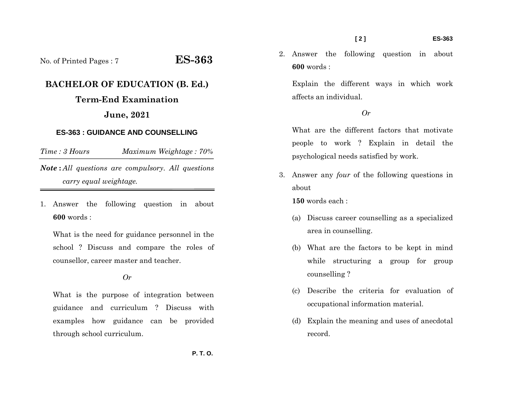**[ 2 ] ES-363** 

No. of Printed Pages : 7 **ES-363**

# **BACHELOR OF EDUCATION (B. Ed.) Term-End Examination**

## **June, 2021**

#### **ES-363 : GUIDANCE AND COUNSELLING**

*Time : 3 Hours Maximum Weightage : 70% Note* **:** *All questions are compulsory. All questions* 

*carry equal weightage.*

1. Answer the following question in about **600** words :

What is the need for guidance personnel in the school ? Discuss and compare the roles of counsellor, career master and teacher.

*Or* 

What is the purpose of integration between guidance and curriculum ? Discuss with examples how guidance can be provided through school curriculum.

2. Answer the following question in about **600** words :

Explain the different ways in which work affects an individual.

#### *Or*

What are the different factors that motivate people to work ? Explain in detail the psychological needs satisfied by work.

3. Answer any *four* of the following questions in about

**150** words each :

- (a) Discuss career counselling as a specialized area in counselling.
- (b) What are the factors to be kept in mind while structuring a group for group counselling ?
- (c) Describe the criteria for evaluation of occupational information material.
- (d) Explain the meaning and uses of anecdotal record.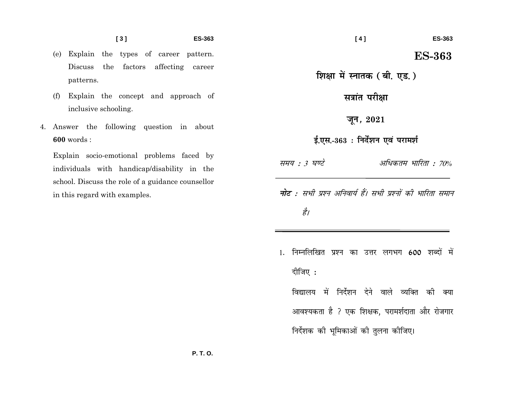- (e) Explain the types of career pattern. the factors affecting career **Discuss** patterns.
- (f) Explain the concept and approach of inclusive schooling.
- 4. Answer the following question in about  $600$  words:

Explain socio-emotional problems faced by individuals with handicap/disability in the school. Discuss the role of a guidance counsellor in this regard with examples.

**ES-363** शिक्षा में स्नातक (बी. एड. ) सत्रांत परीक्षा जून, 2021 ई.एस.-363 : निर्देशन एवं परामर्श अधिकतम भारिता : 70% समय : 3 घण्टे **नोट** : सभी प्रश्न अनिवार्य हैं। सभी प्रश्नों की भारिता समान है। 1. निम्नलिखित प्रश्न का उत्तर लगभग 600 शब्दों में दीजिए :

 $[4]$ 

विद्यालय में निर्देशन देने वाले व्यक्ति की क्या आवश्यकता है ? एक शिक्षक, परामर्शदाता और रोजगार निर्देशक की भूमिकाओं की तुलना कीजिए।

**ES-363**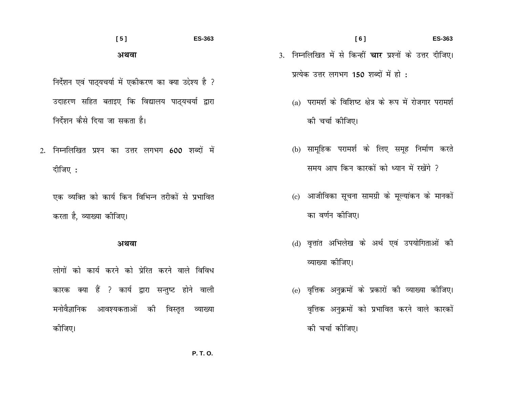### $[5]$ **ES-363** अथवा

निर्देशन एवं पाठ्यचर्या में एकीकरण का क्या उद्देश्य है ? उदाहरण सहित बताइए कि विद्यालय पाठ्यचर्या द्वारा निर्देशन कैसे दिया जा सकता है।

2. निम्नलिखित प्रश्न का उत्तर लगभग 600 शब्दों में दीजिए :

एक व्यक्ति को कार्य किन विभिन्न तरीकों से प्रभावित करता है, व्याख्या कीजिए।

#### अथवा

लोगों को कार्य करने को प्रेरित करने वाले विविध कारक क्या हैं ? कार्य द्वारा सन्तुष्ट होने वाली मनोवैज्ञानिक आवश्यकताओं की विस्तृत व्याख्या कोजिए।

- $[6]$ **ES-363** 3. निम्नलिखित में से किन्हीं **चार** प्रश्नों के उत्तर दीजिए। प्रत्येक उत्तर लगभग 150 शब्दों में हो :
	- (a) परामर्श के विशिष्ट क्षेत्र के रूप में रोजगार परामर्श की चर्चा कीजिए।
	- (b) सामूहिक परामर्श के लिए समूह निर्माण करते समय आप किन कारकों को ध्यान में रखेंगे ?
	- (c) आजीविका सूचना सामग्री के मूल्यांकन के मानकों का वर्णन कोजिए।
	- (d) वृत्तांत अभिलेख के अर्थ एवं उपयोगिताओं की व्याख्या कीजिए।
	- (e) वृत्तिक अनुक्रमों के प्रकारों की व्याख्या कीजिए। वृत्तिक अनुक्रमों को प्रभावित करने वाले कारकों की चर्चा कीजिए।